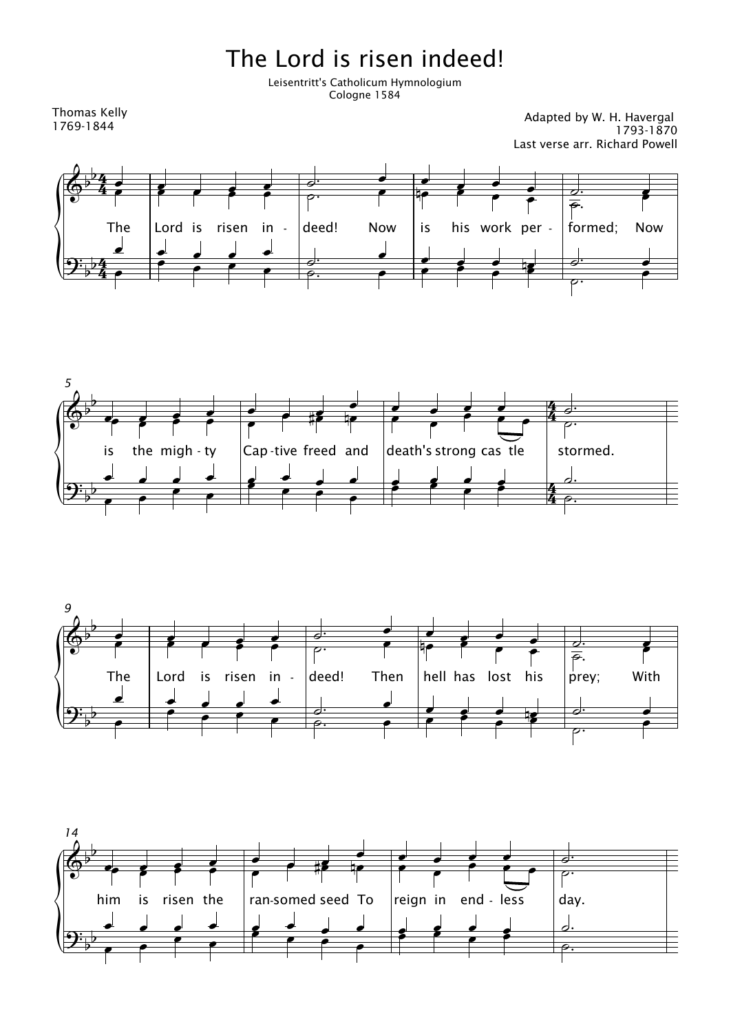## The Lord is risen indeed!

Leisentritt's Catholicum Hymnologium Cologne 1584

Thomas Kelly 1769-1844

Adapted by W. H. Havergal 1793-1870 Last verse arr. Richard Powell